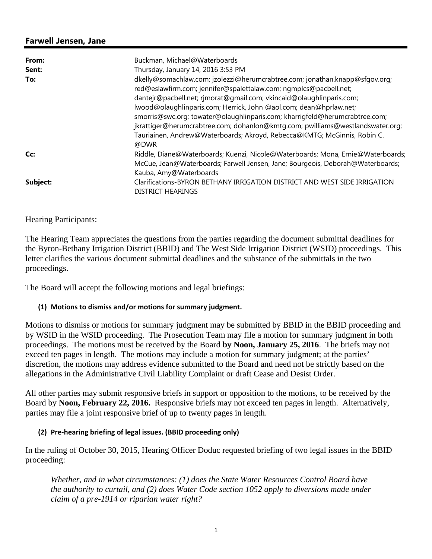# **Farwell Jensen, Jane**

| From:    | Buckman, Michael@Waterboards                                                                          |
|----------|-------------------------------------------------------------------------------------------------------|
| Sent:    | Thursday, January 14, 2016 3:53 PM                                                                    |
| To:      | dkelly@somachlaw.com; jzolezzi@herumcrabtree.com; jonathan.knapp@sfgov.org;                           |
|          | red@eslawfirm.com; jennifer@spalettalaw.com; ngmplcs@pacbell.net;                                     |
|          | dantejr@pacbell.net; rjmorat@gmail.com; vkincaid@olaughlinparis.com;                                  |
|          | lwood@olaughlinparis.com; Herrick, John @aol.com; dean@hprlaw.net;                                    |
|          | smorris@swc.org; towater@olaughlinparis.com; kharrigfeld@herumcrabtree.com;                           |
|          | jkrattiger@herumcrabtree.com; dohanlon@kmtg.com; pwilliams@westlandswater.org;                        |
|          | Tauriainen, Andrew@Waterboards; Akroyd, Rebecca@KMTG; McGinnis, Robin C.                              |
|          | @DWR                                                                                                  |
| Cc:      | Riddle, Diane@Waterboards; Kuenzi, Nicole@Waterboards; Mona, Ernie@Waterboards;                       |
|          | McCue, Jean@Waterboards; Farwell Jensen, Jane; Bourgeois, Deborah@Waterboards;                        |
|          | Kauba, Amy@Waterboards                                                                                |
| Subject: | Clarifications-BYRON BETHANY IRRIGATION DISTRICT AND WEST SIDE IRRIGATION<br><b>DISTRICT HEARINGS</b> |

### Hearing Participants:

The Hearing Team appreciates the questions from the parties regarding the document submittal deadlines for the Byron-Bethany Irrigation District (BBID) and The West Side Irrigation District (WSID) proceedings. This letter clarifies the various document submittal deadlines and the substance of the submittals in the two proceedings.

The Board will accept the following motions and legal briefings:

#### **(1) Motions to dismiss and/or motions for summary judgment.**

Motions to dismiss or motions for summary judgment may be submitted by BBID in the BBID proceeding and by WSID in the WSID proceeding. The Prosecution Team may file a motion for summary judgment in both proceedings. The motions must be received by the Board **by Noon, January 25, 2016**. The briefs may not exceed ten pages in length. The motions may include a motion for summary judgment; at the parties' discretion, the motions may address evidence submitted to the Board and need not be strictly based on the allegations in the Administrative Civil Liability Complaint or draft Cease and Desist Order.

All other parties may submit responsive briefs in support or opposition to the motions, to be received by the Board by **Noon, February 22, 2016.** Responsive briefs may not exceed ten pages in length. Alternatively, parties may file a joint responsive brief of up to twenty pages in length.

### **(2) Pre‐hearing briefing of legal issues. (BBID proceeding only)**

In the ruling of October 30, 2015, Hearing Officer Doduc requested briefing of two legal issues in the BBID proceeding:

*Whether, and in what circumstances: (1) does the State Water Resources Control Board have the authority to curtail, and (2) does Water Code section 1052 apply to diversions made under claim of a pre-1914 or riparian water right?*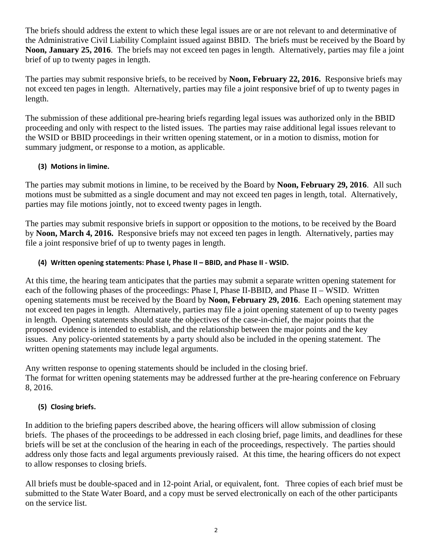The briefs should address the extent to which these legal issues are or are not relevant to and determinative of the Administrative Civil Liability Complaint issued against BBID. The briefs must be received by the Board by **Noon, January 25, 2016**. The briefs may not exceed ten pages in length. Alternatively, parties may file a joint brief of up to twenty pages in length.

The parties may submit responsive briefs, to be received by **Noon, February 22, 2016.** Responsive briefs may not exceed ten pages in length. Alternatively, parties may file a joint responsive brief of up to twenty pages in length.

The submission of these additional pre-hearing briefs regarding legal issues was authorized only in the BBID proceeding and only with respect to the listed issues. The parties may raise additional legal issues relevant to the WSID or BBID proceedings in their written opening statement, or in a motion to dismiss, motion for summary judgment, or response to a motion, as applicable.

# **(3) Motions in limine.**

The parties may submit motions in limine, to be received by the Board by **Noon, February 29, 2016**. All such motions must be submitted as a single document and may not exceed ten pages in length, total. Alternatively, parties may file motions jointly, not to exceed twenty pages in length.

The parties may submit responsive briefs in support or opposition to the motions, to be received by the Board by **Noon, March 4, 2016.** Responsive briefs may not exceed ten pages in length. Alternatively, parties may file a joint responsive brief of up to twenty pages in length.

# **(4) Written opening statements: Phase I, Phase II – BBID, and Phase II ‐ WSID.**

At this time, the hearing team anticipates that the parties may submit a separate written opening statement for each of the following phases of the proceedings: Phase I, Phase II-BBID, and Phase II – WSID. Written opening statements must be received by the Board by **Noon, February 29, 2016**. Each opening statement may not exceed ten pages in length. Alternatively, parties may file a joint opening statement of up to twenty pages in length. Opening statements should state the objectives of the case-in-chief, the major points that the proposed evidence is intended to establish, and the relationship between the major points and the key issues. Any policy-oriented statements by a party should also be included in the opening statement. The written opening statements may include legal arguments.

Any written response to opening statements should be included in the closing brief. The format for written opening statements may be addressed further at the pre-hearing conference on February 8, 2016.

### **(5) Closing briefs.**

In addition to the briefing papers described above, the hearing officers will allow submission of closing briefs. The phases of the proceedings to be addressed in each closing brief, page limits, and deadlines for these briefs will be set at the conclusion of the hearing in each of the proceedings, respectively. The parties should address only those facts and legal arguments previously raised. At this time, the hearing officers do not expect to allow responses to closing briefs.

All briefs must be double-spaced and in 12-point Arial, or equivalent, font. Three copies of each brief must be submitted to the State Water Board, and a copy must be served electronically on each of the other participants on the service list.